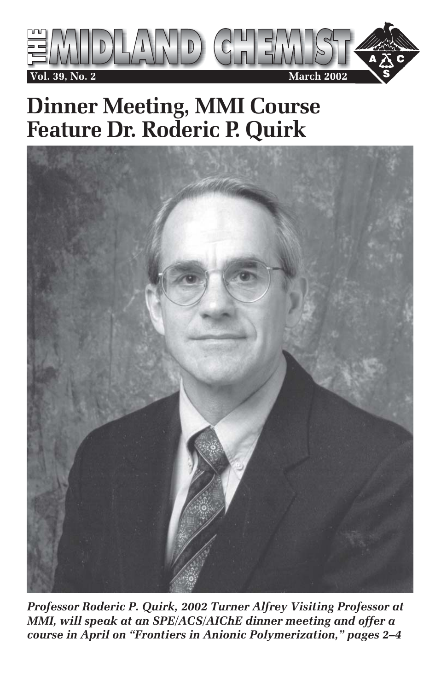

## **Dinner Meeting, MMI Course Feature Dr. Roderic P. Quirk**



*Professor Roderic P. Quirk, 2002 Turner Alfrey Visiting Professor at MMI, will speak at an SPE/ACS/AIChE dinner meeting and offer a course in April on "Frontiers in Anionic Polymerization," pages 2–4*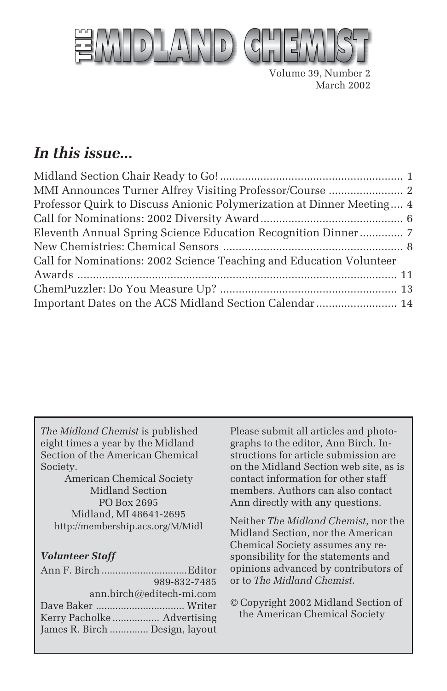

Volume 39, Number 2 March 2002

## *In this issue...*

*The Midland Chemist* is published eight times a year by the Midland Section of the American Chemical Society.

American Chemical Society Midland Section PO Box 2695 Midland, MI 48641-2695 http://membership.acs.org/M/Midl

#### *Volunteer Staff*

|                                | 989-832-7485 |
|--------------------------------|--------------|
| ann.birch@editech-mi.com       |              |
|                                |              |
|                                |              |
| James R. Birch  Design, layout |              |

Please submit all articles and photographs to the editor, Ann Birch. Instructions for article submission are on the Midland Section web site, as is contact information for other staff members. Authors can also contact Ann directly with any questions.

Neither *The Midland Chemist*, nor the Midland Section, nor the American Chemical Society assumes any responsibility for the statements and opinions advanced by contributors of or to *The Midland Chemist*.

© Copyright 2002 Midland Section of the American Chemical Society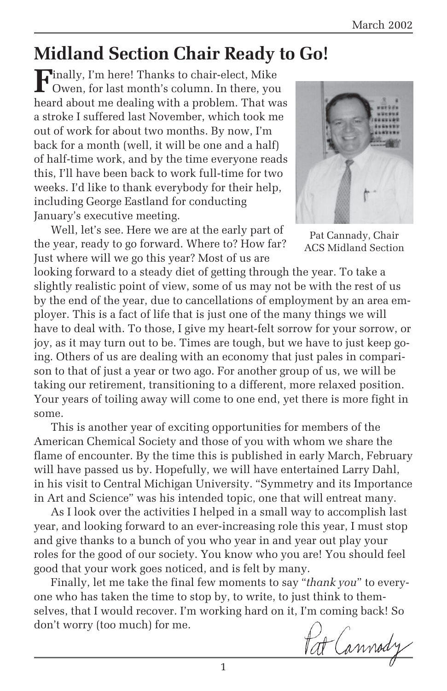## **Midland Section Chair Ready to Go!**

**F**inally, I'm here! Thanks to chair-elect, Mike  $\mathbf \Gamma$  Owen, for last month's column. In there, you heard about me dealing with a problem. That was a stroke I suffered last November, which took me out of work for about two months. By now, I'm back for a month (well, it will be one and a half) of half-time work, and by the time everyone reads this, I'll have been back to work full-time for two weeks. I'd like to thank everybody for their help, including George Eastland for conducting January's executive meeting.

Well, let's see. Here we are at the early part of the year, ready to go forward. Where to? How far? Just where will we go this year? Most of us are



Pat Cannady, Chair ACS Midland Section

looking forward to a steady diet of getting through the year. To take a slightly realistic point of view, some of us may not be with the rest of us by the end of the year, due to cancellations of employment by an area employer. This is a fact of life that is just one of the many things we will have to deal with. To those, I give my heart-felt sorrow for your sorrow, or joy, as it may turn out to be. Times are tough, but we have to just keep going. Others of us are dealing with an economy that just pales in comparison to that of just a year or two ago. For another group of us, we will be taking our retirement, transitioning to a different, more relaxed position. Your years of toiling away will come to one end, yet there is more fight in some.

This is another year of exciting opportunities for members of the American Chemical Society and those of you with whom we share the flame of encounter. By the time this is published in early March, February will have passed us by. Hopefully, we will have entertained Larry Dahl, in his visit to Central Michigan University. "Symmetry and its Importance in Art and Science" was his intended topic, one that will entreat many.

As I look over the activities I helped in a small way to accomplish last year, and looking forward to an ever-increasing role this year, I must stop and give thanks to a bunch of you who year in and year out play your roles for the good of our society. You know who you are! You should feel good that your work goes noticed, and is felt by many.

Finally, let me take the final few moments to say "*thank you*" to everyone who has taken the time to stop by, to write, to just think to themselves, that I would recover. I'm working hard on it, I'm coming back! So don't worry (too much) for me.

Pat Cannody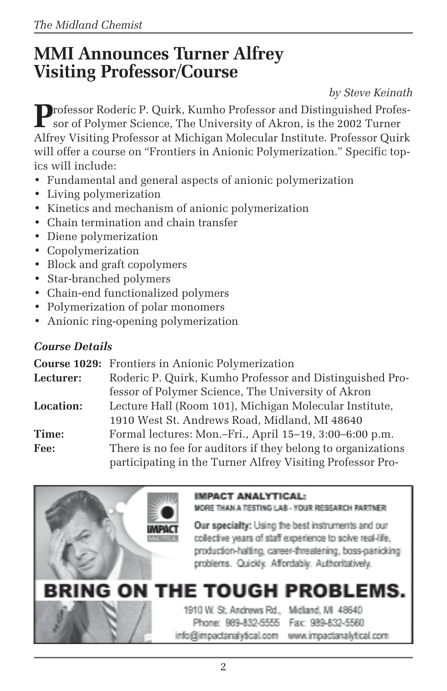## **MMI Announces Turner Alfrey Visiting Professor/Course**

*by Steve Keinath*

**P**rofessor Roderic P. Quirk, Kumho Professor and Distinguished Professor of Polymer Science, The University of Akron, is the 2002 Turner Alfrey Visiting Professor at Michigan Molecular Institute. Professor Quirk will offer a course on "Frontiers in Anionic Polymerization." Specific topics will include:

- Fundamental and general aspects of anionic polymerization
- Living polymerization
- Kinetics and mechanism of anionic polymerization
- Chain termination and chain transfer
- Diene polymerization
- Copolymerization
- Block and graft copolymers
- Star-branched polymers
- Chain-end functionalized polymers
- Polymerization of polar monomers
- Anionic ring-opening polymerization

#### *Course Details*

|           | Course 1029: Frontiers in Anionic Polymerization             |
|-----------|--------------------------------------------------------------|
| Lecturer: | Roderic P. Quirk, Kumho Professor and Distinguished Pro-     |
|           | fessor of Polymer Science, The University of Akron           |
| Location: | Lecture Hall (Room 101), Michigan Molecular Institute,       |
|           | 1910 West St. Andrews Road, Midland, MI 48640                |
| Time:     | Formal lectures: Mon.-Fri., April 15-19, 3:00-6:00 p.m.      |
| Fee:      | There is no fee for auditors if they belong to organizations |
|           | participating in the Turner Alfrey Visiting Professor Pro-   |



#### **IMPACT ANALYTICAL:**

MORE THAN A TESTING LAB - YOUR RESEARCH PARTNER

Our specialty: Using the best instruments and our collective years of staff experience to solve real-life. production-halting, career-threatening, boss-panicking problems. Quickly. Affordably. Authoritatively.

# OUGH PROBLEMS.

1910 W. St. Andrews Rd., Midland, MI 48640 Phone: 989-832-5555 Fax: 989-832-5560

info@impactanalytical.com www.impactanalytical.com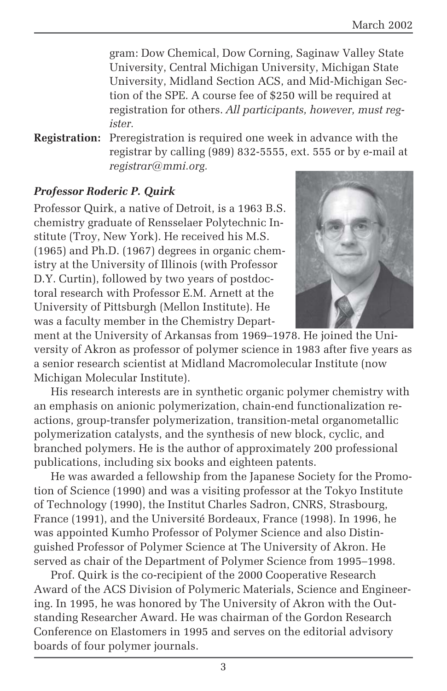gram: Dow Chemical, Dow Corning, Saginaw Valley State University, Central Michigan University, Michigan State University, Midland Section ACS, and Mid-Michigan Section of the SPE. A course fee of \$250 will be required at registration for others. *All participants, however, must register.*

**Registration:** Preregistration is required one week in advance with the registrar by calling (989) 832-5555, ext. 555 or by e-mail at *registrar@mmi.org.*

#### *Professor Roderic P. Quirk*

Professor Quirk, a native of Detroit, is a 1963 B.S. chemistry graduate of Rensselaer Polytechnic Institute (Troy, New York). He received his M.S. (1965) and Ph.D. (1967) degrees in organic chemistry at the University of Illinois (with Professor D.Y. Curtin), followed by two years of postdoctoral research with Professor E.M. Arnett at the University of Pittsburgh (Mellon Institute). He was a faculty member in the Chemistry Depart-



ment at the University of Arkansas from 1969–1978. He joined the University of Akron as professor of polymer science in 1983 after five years as a senior research scientist at Midland Macromolecular Institute (now Michigan Molecular Institute).

His research interests are in synthetic organic polymer chemistry with an emphasis on anionic polymerization, chain-end functionalization reactions, group-transfer polymerization, transition-metal organometallic polymerization catalysts, and the synthesis of new block, cyclic, and branched polymers. He is the author of approximately 200 professional publications, including six books and eighteen patents.

He was awarded a fellowship from the Japanese Society for the Promotion of Science (1990) and was a visiting professor at the Tokyo Institute of Technology (1990), the Institut Charles Sadron, CNRS, Strasbourg, France (1991), and the Université Bordeaux, France (1998). In 1996, he was appointed Kumho Professor of Polymer Science and also Distinguished Professor of Polymer Science at The University of Akron. He served as chair of the Department of Polymer Science from 1995–1998.

Prof. Quirk is the co-recipient of the 2000 Cooperative Research Award of the ACS Division of Polymeric Materials, Science and Engineering. In 1995, he was honored by The University of Akron with the Outstanding Researcher Award. He was chairman of the Gordon Research Conference on Elastomers in 1995 and serves on the editorial advisory boards of four polymer journals.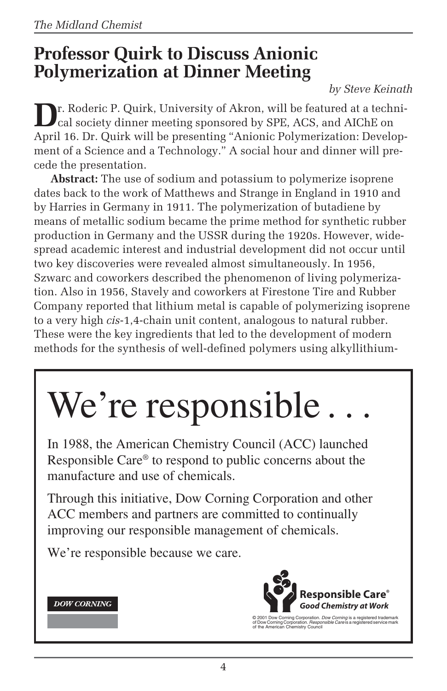## **Professor Quirk to Discuss Anionic Polymerization at Dinner Meeting**

*by Steve Keinath*

**D**r. Roderic P. Quirk, University of Akron, will be featured at a techni-cal society dinner meeting sponsored by SPE, ACS, and AIChE on April 16. Dr. Quirk will be presenting "Anionic Polymerization: Development of a Science and a Technology." A social hour and dinner will precede the presentation.

**Abstract:** The use of sodium and potassium to polymerize isoprene dates back to the work of Matthews and Strange in England in 1910 and by Harries in Germany in 1911. The polymerization of butadiene by means of metallic sodium became the prime method for synthetic rubber production in Germany and the USSR during the 1920s. However, widespread academic interest and industrial development did not occur until two key discoveries were revealed almost simultaneously. In 1956, Szwarc and coworkers described the phenomenon of living polymerization. Also in 1956, Stavely and coworkers at Firestone Tire and Rubber Company reported that lithium metal is capable of polymerizing isoprene to a very high *cis*-1,4-chain unit content, analogous to natural rubber. These were the key ingredients that led to the development of modern methods for the synthesis of well-defined polymers using alkyllithium-

# We're responsible.

In 1988, the American Chemistry Council (ACC) launched Responsible Care® to respond to public concerns about the manufacture and use of chemicals.

Through this initiative, Dow Corning Corporation and other ACC members and partners are committed to continually improving our responsible management of chemicals.

We're responsible because we care.



© 2001 Dow Corning Corporation. *Dow Corning* is a registered trademark<br>of Dow Corning Corporation. *Responsible Care* is a registered service mark<br>of the American Chemistry Council

#### **DOW CORNING**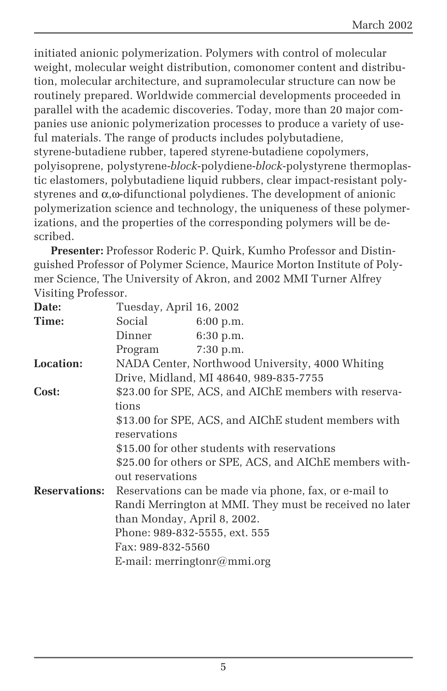initiated anionic polymerization. Polymers with control of molecular weight, molecular weight distribution, comonomer content and distribution, molecular architecture, and supramolecular structure can now be routinely prepared. Worldwide commercial developments proceeded in parallel with the academic discoveries. Today, more than 20 major companies use anionic polymerization processes to produce a variety of useful materials. The range of products includes polybutadiene, styrene-butadiene rubber, tapered styrene-butadiene copolymers, polyisoprene, polystyrene-*block*-polydiene-*block*-polystyrene thermoplastic elastomers, polybutadiene liquid rubbers, clear impact-resistant polystyrenes and  $\alpha$ , $\omega$ -difunctional polydienes. The development of anionic polymerization science and technology, the uniqueness of these polymerizations, and the properties of the corresponding polymers will be described.

**Presenter:** Professor Roderic P. Quirk, Kumho Professor and Distinguished Professor of Polymer Science, Maurice Morton Institute of Polymer Science, The University of Akron, and 2002 MMI Turner Alfrey Visiting Professor.

| Date:                | Tuesday, April 16, 2002                                 |                                                         |
|----------------------|---------------------------------------------------------|---------------------------------------------------------|
| Time:                | Social                                                  | 6:00 p.m.                                               |
|                      | Dinner                                                  | 6:30 p.m.                                               |
|                      | Program                                                 | $7:30$ p.m.                                             |
| Location:            |                                                         | NADA Center, Northwood University, 4000 Whiting         |
|                      |                                                         | Drive, Midland, MI 48640, 989-835-7755                  |
| Cost:                |                                                         | \$23.00 for SPE, ACS, and AIChE members with reserva-   |
|                      | tions                                                   |                                                         |
|                      |                                                         | \$13.00 for SPE, ACS, and AIChE student members with    |
|                      | reservations                                            |                                                         |
|                      | \$15.00 for other students with reservations            |                                                         |
|                      | \$25.00 for others or SPE, ACS, and AIChE members with- |                                                         |
|                      | out reservations                                        |                                                         |
| <b>Reservations:</b> |                                                         | Reservations can be made via phone, fax, or e-mail to   |
|                      |                                                         | Randi Merrington at MMI. They must be received no later |
|                      | than Monday, April 8, 2002.                             |                                                         |
|                      | Phone: 989-832-5555, ext. 555                           |                                                         |
|                      | Fax: 989-832-5560                                       |                                                         |
|                      | E-mail: merringtonr@mmi.org                             |                                                         |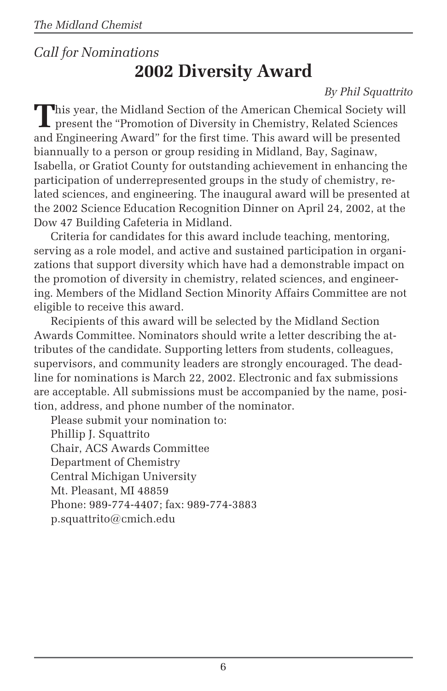## *Call for Nominations* **2002 Diversity Award**

#### *By Phil Squattrito*

This year, the Midland Section of the American Chemical Society will<br>present the "Promotion of Diversity in Chemistry, Related Sciences<br> $\frac{1}{2}$ and Engineering Award" for the first time. This award will be presented biannually to a person or group residing in Midland, Bay, Saginaw, Isabella, or Gratiot County for outstanding achievement in enhancing the participation of underrepresented groups in the study of chemistry, related sciences, and engineering. The inaugural award will be presented at the 2002 Science Education Recognition Dinner on April 24, 2002, at the Dow 47 Building Cafeteria in Midland.

Criteria for candidates for this award include teaching, mentoring, serving as a role model, and active and sustained participation in organizations that support diversity which have had a demonstrable impact on the promotion of diversity in chemistry, related sciences, and engineering. Members of the Midland Section Minority Affairs Committee are not eligible to receive this award.

Recipients of this award will be selected by the Midland Section Awards Committee. Nominators should write a letter describing the attributes of the candidate. Supporting letters from students, colleagues, supervisors, and community leaders are strongly encouraged. The deadline for nominations is March 22, 2002. Electronic and fax submissions are acceptable. All submissions must be accompanied by the name, position, address, and phone number of the nominator.

Please submit your nomination to: Phillip J. Squattrito Chair, ACS Awards Committee Department of Chemistry Central Michigan University Mt. Pleasant, MI 48859 Phone: 989-774-4407; fax: 989-774-3883 p.squattrito@cmich.edu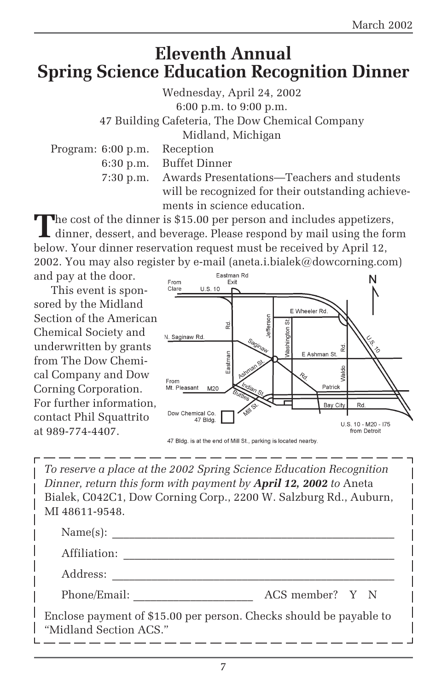## **Eleventh Annual Spring Science Education Recognition Dinner**

Wednesday, April 24, 2002 6:00 p.m. to 9:00 p.m. 47 Building Cafeteria, The Dow Chemical Company Midland, Michigan Program: 6:00 p.m. Reception 6:30 p.m. Buffet Dinner

> 7:30 p.m. Awards Presentations—Teachers and students will be recognized for their outstanding achievements in science education.

The cost of the dinner is \$15.00 per person and includes appetizers,<br>dinner, dessert, and beverage. Please respond by mail using the form below. Your dinner reservation request must be received by April 12, 2002. You may also register by e-mail (aneta.i.bialek@dowcorning.com)

and pay at the door. This event is sponsored by the Midland Section of the American Chemical Society and underwritten by grants from The Dow Chemical Company and Dow Corning Corporation. For further information, contact Phil Squattrito

at 989-774-4407.



47 Bldg. is at the end of Mill St., parking is located nearby.

*To reserve a place at the 2002 Spring Science Education Recognition Dinner, return this form with payment by April 12, 2002 to* Aneta Bialek, C042C1, Dow Corning Corp., 2200 W. Salzburg Rd., Auburn, MI 48611-9548.

| Name(s):                                                                                     |                 |  |
|----------------------------------------------------------------------------------------------|-----------------|--|
| Affiliation:                                                                                 |                 |  |
| Address:                                                                                     |                 |  |
| Phone/Email:                                                                                 | ACS member? Y N |  |
| Enclose payment of \$15.00 per person. Checks should be payable to<br>"Midland Section ACS." |                 |  |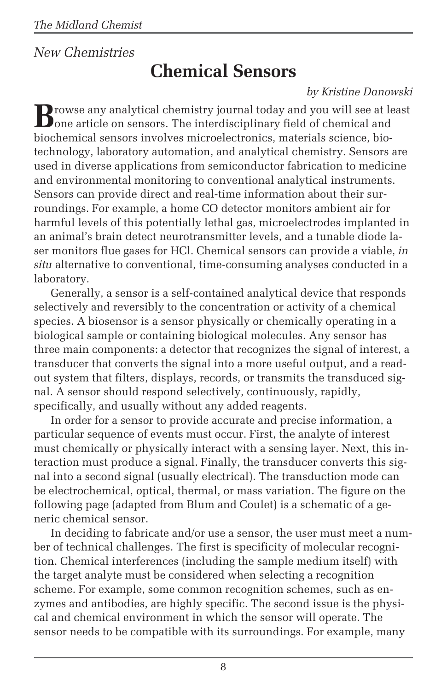### *New Chemistries*

## **Chemical Sensors**

#### *by Kristine Danowski*

**B**rowse any analytical chemistry journal today and you will see at least<br>one article on sensors. The interdisciplinary field of chemical and biochemical sensors involves microelectronics, materials science, biotechnology, laboratory automation, and analytical chemistry. Sensors are used in diverse applications from semiconductor fabrication to medicine and environmental monitoring to conventional analytical instruments. Sensors can provide direct and real-time information about their surroundings. For example, a home CO detector monitors ambient air for harmful levels of this potentially lethal gas, microelectrodes implanted in an animal's brain detect neurotransmitter levels, and a tunable diode laser monitors flue gases for HCl. Chemical sensors can provide a viable, *in situ* alternative to conventional, time-consuming analyses conducted in a laboratory.

Generally, a sensor is a self-contained analytical device that responds selectively and reversibly to the concentration or activity of a chemical species. A biosensor is a sensor physically or chemically operating in a biological sample or containing biological molecules. Any sensor has three main components: a detector that recognizes the signal of interest, a transducer that converts the signal into a more useful output, and a readout system that filters, displays, records, or transmits the transduced signal. A sensor should respond selectively, continuously, rapidly, specifically, and usually without any added reagents.

In order for a sensor to provide accurate and precise information, a particular sequence of events must occur. First, the analyte of interest must chemically or physically interact with a sensing layer. Next, this interaction must produce a signal. Finally, the transducer converts this signal into a second signal (usually electrical). The transduction mode can be electrochemical, optical, thermal, or mass variation. The figure on the following page (adapted from Blum and Coulet) is a schematic of a generic chemical sensor.

In deciding to fabricate and/or use a sensor, the user must meet a number of technical challenges. The first is specificity of molecular recognition. Chemical interferences (including the sample medium itself) with the target analyte must be considered when selecting a recognition scheme. For example, some common recognition schemes, such as enzymes and antibodies, are highly specific. The second issue is the physical and chemical environment in which the sensor will operate. The sensor needs to be compatible with its surroundings. For example, many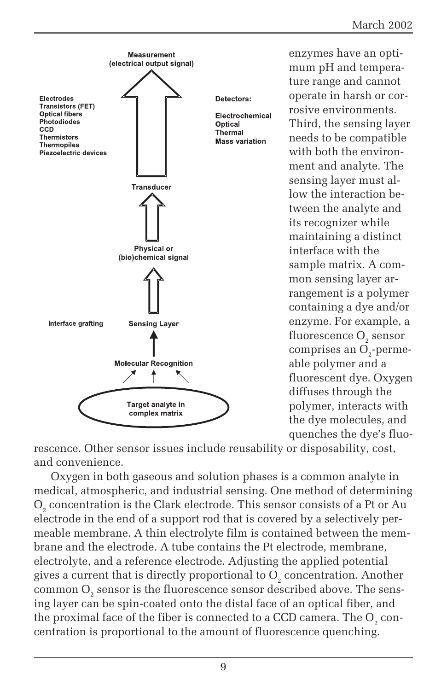

enzymes have an optimum pH and temperature range and cannot operate in harsh or corrosive environments. Third, the sensing layer needs to be compatible with both the environment and analyte. The sensing layer must allow the interaction between the analyte and its recognizer while maintaining a distinct interface with the sample matrix. A common sensing layer arrangement is a polymer containing a dye and/or enzyme. For example, a fluorescence  $\mathrm{O}_\mathrm{_{2}}$  sensor comprises an  $O_2$ -permeable polymer and a fluorescent dye. Oxygen diffuses through the polymer, interacts with the dye molecules, and quenches the dye's fluo-

rescence. Other sensor issues include reusability or disposability, cost, and convenience.

Oxygen in both gaseous and solution phases is a common analyte in medical, atmospheric, and industrial sensing. One method of determining  $\mathrm{O}_2$  concentration is the Clark electrode. This sensor consists of a Pt or Au electrode in the end of a support rod that is covered by a selectively permeable membrane. A thin electrolyte film is contained between the membrane and the electrode. A tube contains the Pt electrode, membrane, electrolyte, and a reference electrode. Adjusting the applied potential gives a current that is directly proportional to  ${\rm O}_2$  concentration. Another common  $\mathrm{O}_\mathrm{2}$  sensor is the fluorescence sensor described above. The sensing layer can be spin-coated onto the distal face of an optical fiber, and the proximal face of the fiber is connected to a CCD camera. The  $\mathrm{O}_\mathrm{2}$  concentration is proportional to the amount of fluorescence quenching.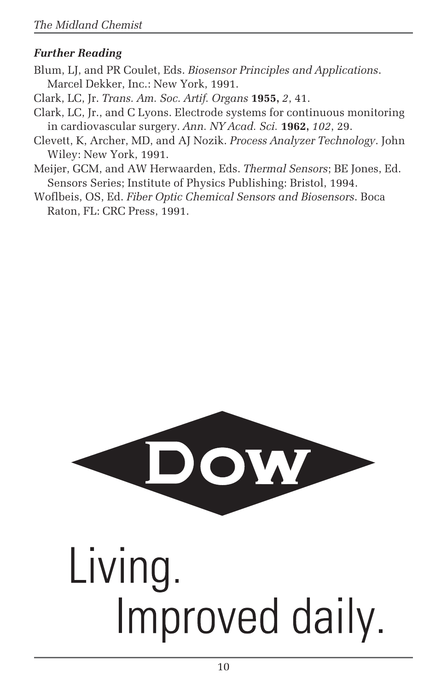#### *Further Reading*

- Blum, LJ, and PR Coulet, Eds. *Biosensor Principles and Applications*. Marcel Dekker, Inc.: New York, 1991.
- Clark, LC, Jr. *Trans. Am. Soc. Artif. Organs* **1955,** *2*, 41.
- Clark, LC, Jr., and C Lyons. Electrode systems for continuous monitoring in cardiovascular surgery. *Ann. NY Acad. Sci.* **1962,** *102*, 29.
- Clevett, K, Archer, MD, and AJ Nozik. *Process Analyzer Technology*. John Wiley: New York, 1991.
- Meijer, GCM, and AW Herwaarden, Eds. *Thermal Sensors*; BE Jones, Ed. Sensors Series; Institute of Physics Publishing: Bristol, 1994.
- Woflbeis, OS, Ed. *Fiber Optic Chemical Sensors and Biosensors*. Boca Raton, FL: CRC Press, 1991.

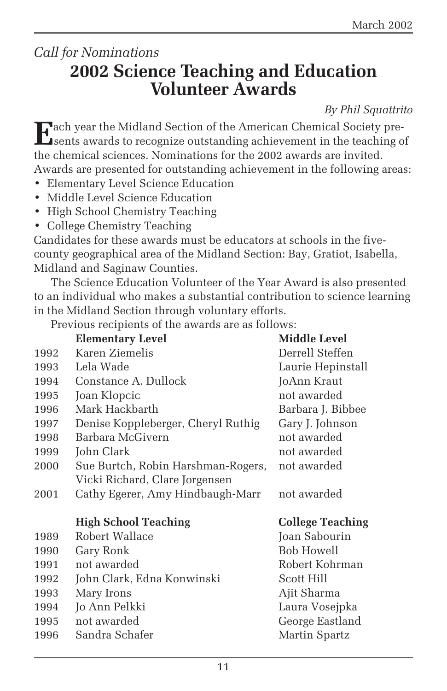## *Call for Nominations* **2002 Science Teaching and Education Volunteer Awards**

#### *By Phil Squattrito*

**E**ach year the Midland Section of the American Chemical Society pre-**Sents awards to recognize outstanding achievement in the teaching of** the chemical sciences. Nominations for the 2002 awards are invited. Awards are presented for outstanding achievement in the following areas:

- Elementary Level Science Education
- Middle Level Science Education
- High School Chemistry Teaching
- College Chemistry Teaching

Candidates for these awards must be educators at schools in the fivecounty geographical area of the Midland Section: Bay, Gratiot, Isabella, Midland and Saginaw Counties.

The Science Education Volunteer of the Year Award is also presented to an individual who makes a substantial contribution to science learning in the Midland Section through voluntary efforts.

Previous recipients of the awards are as follows:

|      | <b>Elementary Level</b>            | <b>Middle Level</b>     |
|------|------------------------------------|-------------------------|
| 1992 | Karen Ziemelis                     | Derrell Steffen         |
| 1993 | Lela Wade                          | Laurie Hepinstall       |
| 1994 | Constance A. Dullock               | JoAnn Kraut             |
| 1995 | Joan Klopcic                       | not awarded             |
| 1996 | Mark Hackbarth                     | Barbara J. Bibbee       |
| 1997 | Denise Koppleberger, Cheryl Ruthig | Gary J. Johnson         |
| 1998 | Barbara McGivern                   | not awarded             |
| 1999 | John Clark                         | not awarded             |
| 2000 | Sue Burtch, Robin Harshman-Rogers, | not awarded             |
|      | Vicki Richard, Clare Jorgensen     |                         |
| 2001 | Cathy Egerer, Amy Hindbaugh-Marr   | not awarded             |
|      | <b>High School Teaching</b>        | <b>College Teaching</b> |
| 1989 | Robert Wallace                     | Joan Sabourin           |
| 1990 | Gary Ronk                          | <b>Bob Howell</b>       |
| 1991 | not awarded                        | Robert Kohrman          |
| 1992 | John Clark, Edna Konwinski         | Scott Hill              |
| 1993 | Mary Irons                         | Ajit Sharma             |
| 1994 | Jo Ann Pelkki                      | Laura Vosejpka          |
| 1995 | not awarded                        | George Eastland         |
| 1996 | Sandra Schafer                     | Martin Spartz           |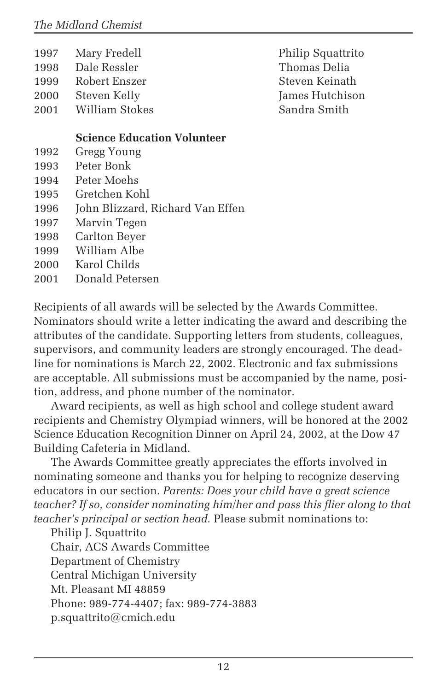| 1997                 | Mary Fredell |
|----------------------|--------------|
| $\sim$ $\sim$ $\sim$ |              |

- 
- 
- 2001 William Stokes Sandra Smith

Philip Squattrito 1998 Dale Ressler Thomas Delia 1999 Robert Enszer Steven Keinath 2000 Steven Kelly James Hutchison

#### **Science Education Volunteer**

- 1992 Gregg Young
- 1993 Peter Bonk
- 1994 Peter Moehs
- 1995 Gretchen Kohl
- 1996 **John Blizzard, Richard Van Effen**
- 1997 Marvin Tegen
- 1998 Carlton Beyer
- 1999 William Albe
- 2000 Karol Childs
- 2001 Donald Petersen

Recipients of all awards will be selected by the Awards Committee. Nominators should write a letter indicating the award and describing the attributes of the candidate. Supporting letters from students, colleagues, supervisors, and community leaders are strongly encouraged. The deadline for nominations is March 22, 2002. Electronic and fax submissions are acceptable. All submissions must be accompanied by the name, position, address, and phone number of the nominator.

Award recipients, as well as high school and college student award recipients and Chemistry Olympiad winners, will be honored at the 2002 Science Education Recognition Dinner on April 24, 2002, at the Dow 47 Building Cafeteria in Midland.

The Awards Committee greatly appreciates the efforts involved in nominating someone and thanks you for helping to recognize deserving educators in our section. *Parents: Does your child have a great science teacher? If so, consider nominating him/her and pass this flier along to that teacher's principal or section head.* Please submit nominations to:

Philip J. Squattrito Chair, ACS Awards Committee Department of Chemistry Central Michigan University Mt. Pleasant MI 48859 Phone: 989-774-4407; fax: 989-774-3883 p.squattrito@cmich.edu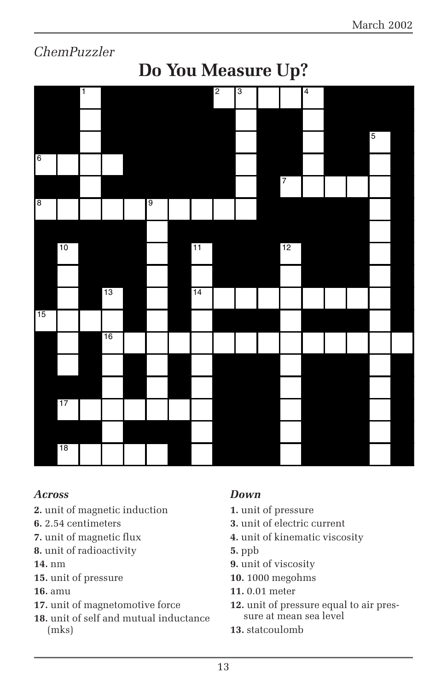

#### *Across*

- **2.** unit of magnetic induction
- **6.** 2.54 centimeters
- **7.** unit of magnetic flux
- **8.** unit of radioactivity
- **14.** nm
- **15.** unit of pressure
- **16.** amu
- **17.** unit of magnetomotive force
- **18.** unit of self and mutual inductance (mks)

#### *Down*

- **1.** unit of pressure
- **3.** unit of electric current
- **4.** unit of kinematic viscosity
- **5.** ppb
- **9.** unit of viscosity
- **10.** 1000 megohms
- **11.** 0.01 meter
- **12.** unit of pressure equal to air pressure at mean sea level
- **13.** statcoulomb